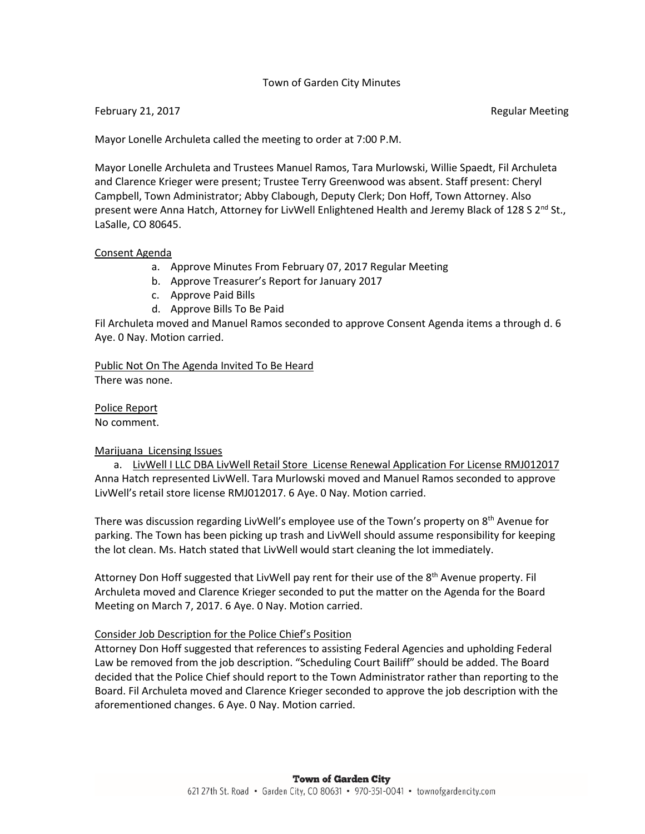# Town of Garden City Minutes

### February 21, 2017 **Regular Meeting**

Mayor Lonelle Archuleta called the meeting to order at 7:00 P.M.

Mayor Lonelle Archuleta and Trustees Manuel Ramos, Tara Murlowski, Willie Spaedt, Fil Archuleta and Clarence Krieger were present; Trustee Terry Greenwood was absent. Staff present: Cheryl Campbell, Town Administrator; Abby Clabough, Deputy Clerk; Don Hoff, Town Attorney. Also present were Anna Hatch, Attorney for LivWell Enlightened Health and Jeremy Black of 128 S  $2^{nd}$  St., LaSalle, CO 80645.

#### Consent Agenda

- a. Approve Minutes From February 07, 2017 Regular Meeting
- b. Approve Treasurer's Report for January 2017
- c. Approve Paid Bills
- d. Approve Bills To Be Paid

Fil Archuleta moved and Manuel Ramos seconded to approve Consent Agenda items a through d. 6 Aye. 0 Nay. Motion carried.

Public Not On The Agenda Invited To Be Heard There was none.

Police Report No comment.

### Marijuana Licensing Issues

a. LivWell I LLC DBA LivWell Retail Store License Renewal Application For License RMJ012017 Anna Hatch represented LivWell. Tara Murlowski moved and Manuel Ramos seconded to approve LivWell's retail store license RMJ012017. 6 Aye. 0 Nay. Motion carried.

There was discussion regarding LivWell's employee use of the Town's property on 8<sup>th</sup> Avenue for parking. The Town has been picking up trash and LivWell should assume responsibility for keeping the lot clean. Ms. Hatch stated that LivWell would start cleaning the lot immediately.

Attorney Don Hoff suggested that LivWell pay rent for their use of the 8<sup>th</sup> Avenue property. Fil Archuleta moved and Clarence Krieger seconded to put the matter on the Agenda for the Board Meeting on March 7, 2017. 6 Aye. 0 Nay. Motion carried.

#### Consider Job Description for the Police Chief's Position

Attorney Don Hoff suggested that references to assisting Federal Agencies and upholding Federal Law be removed from the job description. "Scheduling Court Bailiff" should be added. The Board decided that the Police Chief should report to the Town Administrator rather than reporting to the Board. Fil Archuleta moved and Clarence Krieger seconded to approve the job description with the aforementioned changes. 6 Aye. 0 Nay. Motion carried.